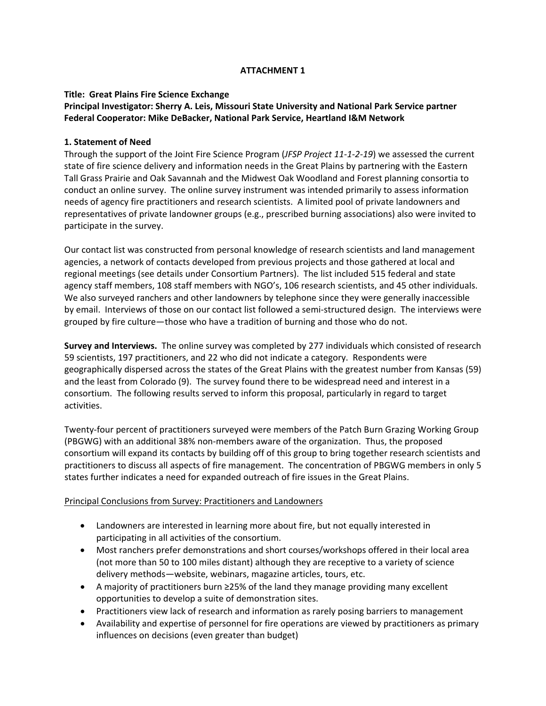# **ATTACHMENT 1**

# **Title: Great Plains Fire Science Exchange**

# **Principal Investigator: Sherry A. Leis, Missouri State University and National Park Service partner Federal Cooperator: Mike DeBacker, National Park Service, Heartland I&M Network**

### **1. Statement of Need**

Through the support of the Joint Fire Science Program (*JFSP Project 11‐1‐2‐19*) we assessed the current state of fire science delivery and information needs in the Great Plains by partnering with the Eastern Tall Grass Prairie and Oak Savannah and the Midwest Oak Woodland and Forest planning consortia to conduct an online survey. The online survey instrument was intended primarily to assess information needs of agency fire practitioners and research scientists. A limited pool of private landowners and representatives of private landowner groups (e.g., prescribed burning associations) also were invited to participate in the survey.

Our contact list was constructed from personal knowledge of research scientists and land management agencies, a network of contacts developed from previous projects and those gathered at local and regional meetings (see details under Consortium Partners). The list included 515 federal and state agency staff members, 108 staff members with NGO's, 106 research scientists, and 45 other individuals. We also surveyed ranchers and other landowners by telephone since they were generally inaccessible by email. Interviews of those on our contact list followed a semi‐structured design. The interviews were grouped by fire culture—those who have a tradition of burning and those who do not.

**Survey and Interviews.** The online survey was completed by 277 individuals which consisted of research 59 scientists, 197 practitioners, and 22 who did not indicate a category. Respondents were geographically dispersed across the states of the Great Plains with the greatest number from Kansas (59) and the least from Colorado (9). The survey found there to be widespread need and interest in a consortium. The following results served to inform this proposal, particularly in regard to target activities.

Twenty‐four percent of practitioners surveyed were members of the Patch Burn Grazing Working Group (PBGWG) with an additional 38% non‐members aware of the organization. Thus, the proposed consortium will expand its contacts by building off of this group to bring together research scientists and practitioners to discuss all aspects of fire management. The concentration of PBGWG members in only 5 states further indicates a need for expanded outreach of fire issues in the Great Plains.

# Principal Conclusions from Survey: Practitioners and Landowners

- Landowners are interested in learning more about fire, but not equally interested in participating in all activities of the consortium.
- Most ranchers prefer demonstrations and short courses/workshops offered in their local area (not more than 50 to 100 miles distant) although they are receptive to a variety of science delivery methods—website, webinars, magazine articles, tours, etc.
- A majority of practitioners burn ≥25% of the land they manage providing many excellent opportunities to develop a suite of demonstration sites.
- Practitioners view lack of research and information as rarely posing barriers to management
- Availability and expertise of personnel for fire operations are viewed by practitioners as primary influences on decisions (even greater than budget)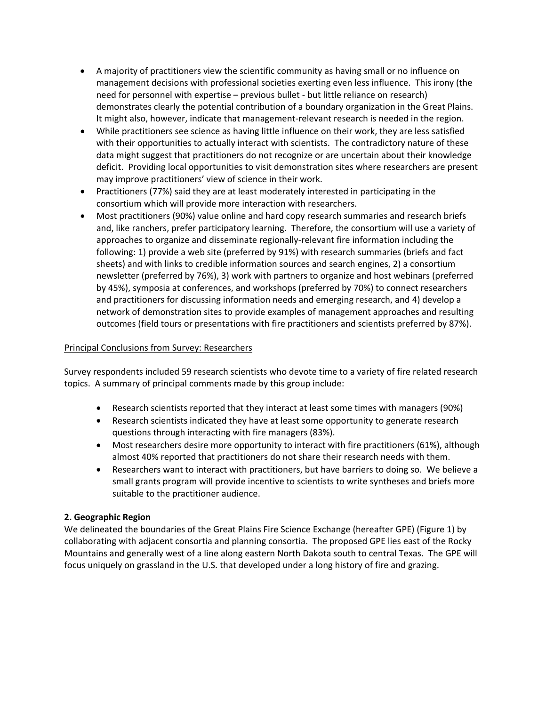- A majority of practitioners view the scientific community as having small or no influence on management decisions with professional societies exerting even less influence. This irony (the need for personnel with expertise – previous bullet ‐ but little reliance on research) demonstrates clearly the potential contribution of a boundary organization in the Great Plains. It might also, however, indicate that management‐relevant research is needed in the region.
- While practitioners see science as having little influence on their work, they are less satisfied with their opportunities to actually interact with scientists. The contradictory nature of these data might suggest that practitioners do not recognize or are uncertain about their knowledge deficit. Providing local opportunities to visit demonstration sites where researchers are present may improve practitioners' view of science in their work.
- Practitioners (77%) said they are at least moderately interested in participating in the consortium which will provide more interaction with researchers.
- Most practitioners (90%) value online and hard copy research summaries and research briefs and, like ranchers, prefer participatory learning. Therefore, the consortium will use a variety of approaches to organize and disseminate regionally-relevant fire information including the following: 1) provide a web site (preferred by 91%) with research summaries (briefs and fact sheets) and with links to credible information sources and search engines, 2) a consortium newsletter (preferred by 76%), 3) work with partners to organize and host webinars (preferred by 45%), symposia at conferences, and workshops (preferred by 70%) to connect researchers and practitioners for discussing information needs and emerging research, and 4) develop a network of demonstration sites to provide examples of management approaches and resulting outcomes (field tours or presentations with fire practitioners and scientists preferred by 87%).

# Principal Conclusions from Survey: Researchers

Survey respondents included 59 research scientists who devote time to a variety of fire related research topics. A summary of principal comments made by this group include:

- Research scientists reported that they interact at least some times with managers (90%)
- Research scientists indicated they have at least some opportunity to generate research questions through interacting with fire managers (83%).
- Most researchers desire more opportunity to interact with fire practitioners (61%), although almost 40% reported that practitioners do not share their research needs with them.
- Researchers want to interact with practitioners, but have barriers to doing so. We believe a small grants program will provide incentive to scientists to write syntheses and briefs more suitable to the practitioner audience.

# **2. Geographic Region**

We delineated the boundaries of the Great Plains Fire Science Exchange (hereafter GPE) (Figure 1) by collaborating with adjacent consortia and planning consortia. The proposed GPE lies east of the Rocky Mountains and generally west of a line along eastern North Dakota south to central Texas. The GPE will focus uniquely on grassland in the U.S. that developed under a long history of fire and grazing.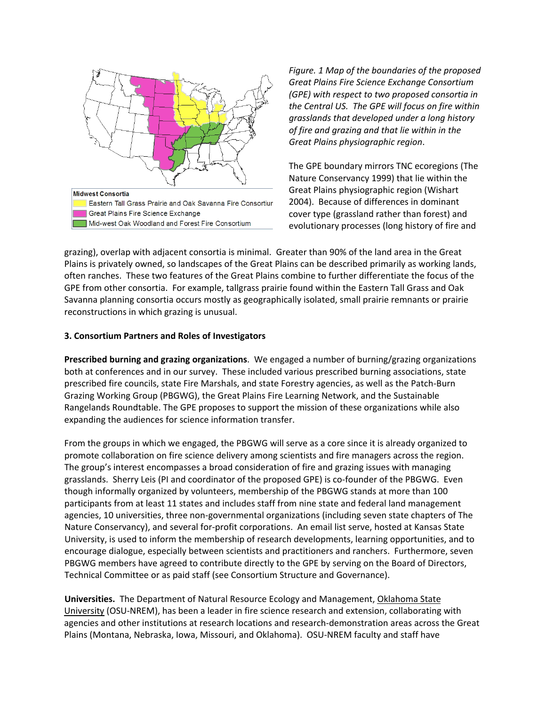

*Figure. 1 Map of the boundaries of the proposed Great Plains Fire Science Exchange Consortium (GPE) with respect to two proposed consortia in the Central US. The GPE will focus on fire within grasslands that developed under a long history of fire and grazing and that lie within in the Great Plains physiographic region*.

The GPE boundary mirrors TNC ecoregions (The Nature Conservancy 1999) that lie within the Great Plains physiographic region (Wishart 2004). Because of differences in dominant cover type (grassland rather than forest) and evolutionary processes (long history of fire and

grazing), overlap with adjacent consortia is minimal. Greater than 90% of the land area in the Great Plains is privately owned, so landscapes of the Great Plains can be described primarily as working lands, often ranches. These two features of the Great Plains combine to further differentiate the focus of the GPE from other consortia. For example, tallgrass prairie found within the Eastern Tall Grass and Oak Savanna planning consortia occurs mostly as geographically isolated, small prairie remnants or prairie reconstructions in which grazing is unusual.

#### **3. Consortium Partners and Roles of Investigators**

**Prescribed burning and grazing organizations**. We engaged a number of burning/grazing organizations both at conferences and in our survey. These included various prescribed burning associations, state prescribed fire councils, state Fire Marshals, and state Forestry agencies, as well as the Patch‐Burn Grazing Working Group (PBGWG), the Great Plains Fire Learning Network, and the Sustainable Rangelands Roundtable. The GPE proposes to support the mission of these organizations while also expanding the audiences for science information transfer.

From the groups in which we engaged, the PBGWG will serve as a core since it is already organized to promote collaboration on fire science delivery among scientists and fire managers across the region. The group's interest encompasses a broad consideration of fire and grazing issues with managing grasslands. Sherry Leis (PI and coordinator of the proposed GPE) is co-founder of the PBGWG. Even though informally organized by volunteers, membership of the PBGWG stands at more than 100 participants from at least 11 states and includes staff from nine state and federal land management agencies, 10 universities, three non‐governmental organizations (including seven state chapters of The Nature Conservancy), and several for‐profit corporations. An email list serve, hosted at Kansas State University, is used to inform the membership of research developments, learning opportunities, and to encourage dialogue, especially between scientists and practitioners and ranchers. Furthermore, seven PBGWG members have agreed to contribute directly to the GPE by serving on the Board of Directors, Technical Committee or as paid staff (see Consortium Structure and Governance).

**Universities.** The Department of Natural Resource Ecology and Management, Oklahoma State University (OSU‐NREM), has been a leader in fire science research and extension, collaborating with agencies and other institutions at research locations and research‐demonstration areas across the Great Plains (Montana, Nebraska, Iowa, Missouri, and Oklahoma). OSU‐NREM faculty and staff have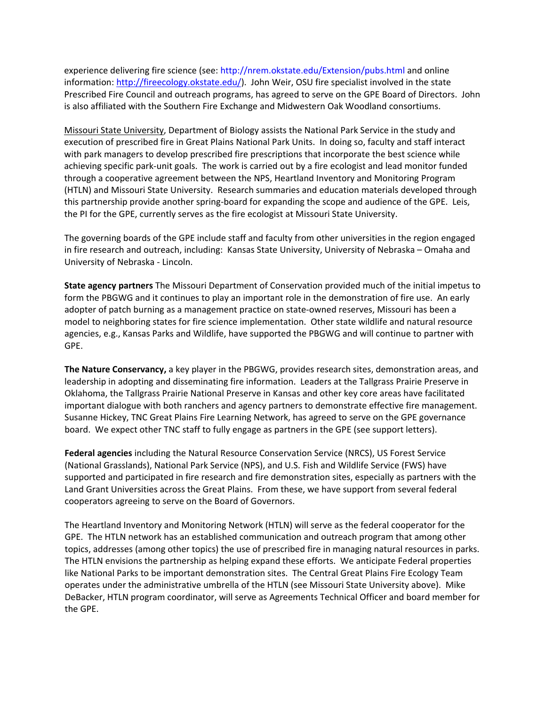experience delivering fire science (see: <http://nrem.okstate.edu/Extension/pubs.html> and online information: [http://fireecology.okstate.edu/\)](http://fireecology.okstate.edu/). John Weir, OSU fire specialist involved in the state Prescribed Fire Council and outreach programs, has agreed to serve on the GPE Board of Directors. John is also affiliated with the Southern Fire Exchange and Midwestern Oak Woodland consortiums.

Missouri State University, Department of Biology assists the National Park Service in the study and execution of prescribed fire in Great Plains National Park Units. In doing so, faculty and staff interact with park managers to develop prescribed fire prescriptions that incorporate the best science while achieving specific park‐unit goals. The work is carried out by a fire ecologist and lead monitor funded through a cooperative agreement between the NPS, Heartland Inventory and Monitoring Program (HTLN) and Missouri State University. Research summaries and education materials developed through this partnership provide another spring‐board for expanding the scope and audience of the GPE. Leis, the PI for the GPE, currently serves as the fire ecologist at Missouri State University.

The governing boards of the GPE include staff and faculty from other universities in the region engaged in fire research and outreach, including: Kansas State University, University of Nebraska – Omaha and University of Nebraska ‐ Lincoln.

**State agency partners** The Missouri Department of Conservation provided much of the initial impetus to form the PBGWG and it continues to play an important role in the demonstration of fire use. An early adopter of patch burning as a management practice on state‐owned reserves, Missouri has been a model to neighboring states for fire science implementation. Other state wildlife and natural resource agencies, e.g., Kansas Parks and Wildlife, have supported the PBGWG and will continue to partner with GPE.

**The Nature Conservancy,** a key player in the PBGWG, provides research sites, demonstration areas, and leadership in adopting and disseminating fire information. Leaders at the Tallgrass Prairie Preserve in Oklahoma, the Tallgrass Prairie National Preserve in Kansas and other key core areas have facilitated important dialogue with both ranchers and agency partners to demonstrate effective fire management. Susanne Hickey, TNC Great Plains Fire Learning Network, has agreed to serve on the GPE governance board. We expect other TNC staff to fully engage as partners in the GPE (see support letters).

**Federal agencies** including the Natural Resource Conservation Service (NRCS), US Forest Service (National Grasslands), National Park Service (NPS), and U.S. Fish and Wildlife Service (FWS) have supported and participated in fire research and fire demonstration sites, especially as partners with the Land Grant Universities across the Great Plains. From these, we have support from several federal cooperators agreeing to serve on the Board of Governors.

The Heartland Inventory and Monitoring Network (HTLN) will serve as the federal cooperator for the GPE. The HTLN network has an established communication and outreach program that among other topics, addresses (among other topics) the use of prescribed fire in managing natural resources in parks. The HTLN envisions the partnership as helping expand these efforts. We anticipate Federal properties like National Parks to be important demonstration sites. The Central Great Plains Fire Ecology Team operates under the administrative umbrella of the HTLN (see Missouri State University above). Mike DeBacker, HTLN program coordinator, will serve as Agreements Technical Officer and board member for the GPE.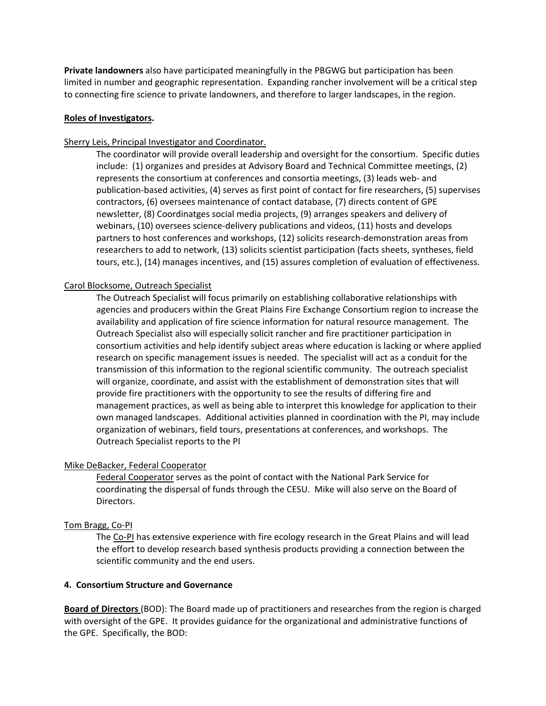**Private landowners** also have participated meaningfully in the PBGWG but participation has been limited in number and geographic representation. Expanding rancher involvement will be a critical step to connecting fire science to private landowners, and therefore to larger landscapes, in the region.

### **Roles of Investigators.**

# Sherry Leis, Principal Investigator and Coordinator.

The coordinator will provide overall leadership and oversight for the consortium. Specific duties include: (1) organizes and presides at Advisory Board and Technical Committee meetings, (2) represents the consortium at conferences and consortia meetings, (3) leads web‐ and publication‐based activities, (4) serves as first point of contact for fire researchers, (5) supervises contractors, (6) oversees maintenance of contact database, (7) directs content of GPE newsletter, (8) Coordinatges social media projects, (9) arranges speakers and delivery of webinars, (10) oversees science‐delivery publications and videos, (11) hosts and develops partners to host conferences and workshops, (12) solicits research‐demonstration areas from researchers to add to network, (13) solicits scientist participation (facts sheets, syntheses, field tours, etc.), (14) manages incentives, and (15) assures completion of evaluation of effectiveness.

### Carol Blocksome, Outreach Specialist

The Outreach Specialist will focus primarily on establishing collaborative relationships with agencies and producers within the Great Plains Fire Exchange Consortium region to increase the availability and application of fire science information for natural resource management. The Outreach Specialist also will especially solicit rancher and fire practitioner participation in consortium activities and help identify subject areas where education is lacking or where applied research on specific management issues is needed. The specialist will act as a conduit for the transmission of this information to the regional scientific community. The outreach specialist will organize, coordinate, and assist with the establishment of demonstration sites that will provide fire practitioners with the opportunity to see the results of differing fire and management practices, as well as being able to interpret this knowledge for application to their own managed landscapes. Additional activities planned in coordination with the PI, may include organization of webinars, field tours, presentations at conferences, and workshops. The Outreach Specialist reports to the PI

# Mike DeBacker, Federal Cooperator

Federal Cooperator serves as the point of contact with the National Park Service for coordinating the dispersal of funds through the CESU. Mike will also serve on the Board of Directors.

#### Tom Bragg, Co‐PI

The Co-PI has extensive experience with fire ecology research in the Great Plains and will lead the effort to develop research based synthesis products providing a connection between the scientific community and the end users.

### **4. Consortium Structure and Governance**

**Board of Directors** (BOD): The Board made up of practitioners and researches from the region is charged with oversight of the GPE. It provides guidance for the organizational and administrative functions of the GPE. Specifically, the BOD: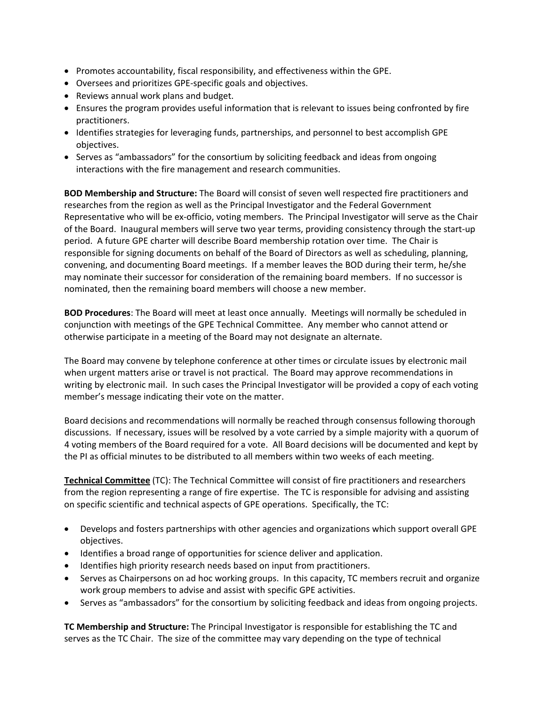- Promotes accountability, fiscal responsibility, and effectiveness within the GPE.
- Oversees and prioritizes GPE‐specific goals and objectives.
- Reviews annual work plans and budget.
- Ensures the program provides useful information that is relevant to issues being confronted by fire practitioners.
- Identifies strategies for leveraging funds, partnerships, and personnel to best accomplish GPE objectives.
- Serves as "ambassadors" for the consortium by soliciting feedback and ideas from ongoing interactions with the fire management and research communities.

**BOD Membership and Structure:** The Board will consist of seven well respected fire practitioners and researches from the region as well as the Principal Investigator and the Federal Government Representative who will be ex-officio, voting members. The Principal Investigator will serve as the Chair of the Board. Inaugural members will serve two year terms, providing consistency through the start‐up period. A future GPE charter will describe Board membership rotation over time. The Chair is responsible for signing documents on behalf of the Board of Directors as well as scheduling, planning, convening, and documenting Board meetings. If a member leaves the BOD during their term, he/she may nominate their successor for consideration of the remaining board members. If no successor is nominated, then the remaining board members will choose a new member.

**BOD Procedures**: The Board will meet at least once annually. Meetings will normally be scheduled in conjunction with meetings of the GPE Technical Committee. Any member who cannot attend or otherwise participate in a meeting of the Board may not designate an alternate.

The Board may convene by telephone conference at other times or circulate issues by electronic mail when urgent matters arise or travel is not practical. The Board may approve recommendations in writing by electronic mail. In such cases the Principal Investigator will be provided a copy of each voting member's message indicating their vote on the matter.

Board decisions and recommendations will normally be reached through consensus following thorough discussions. If necessary, issues will be resolved by a vote carried by a simple majority with a quorum of 4 voting members of the Board required for a vote. All Board decisions will be documented and kept by the PI as official minutes to be distributed to all members within two weeks of each meeting.

**Technical Committee** (TC): The Technical Committee will consist of fire practitioners and researchers from the region representing a range of fire expertise. The TC is responsible for advising and assisting on specific scientific and technical aspects of GPE operations. Specifically, the TC:

- Develops and fosters partnerships with other agencies and organizations which support overall GPE objectives.
- Identifies a broad range of opportunities for science deliver and application.
- Identifies high priority research needs based on input from practitioners.
- Serves as Chairpersons on ad hoc working groups. In this capacity, TC members recruit and organize work group members to advise and assist with specific GPE activities.
- Serves as "ambassadors" for the consortium by soliciting feedback and ideas from ongoing projects.

**TC Membership and Structure:** The Principal Investigator is responsible for establishing the TC and serves as the TC Chair. The size of the committee may vary depending on the type of technical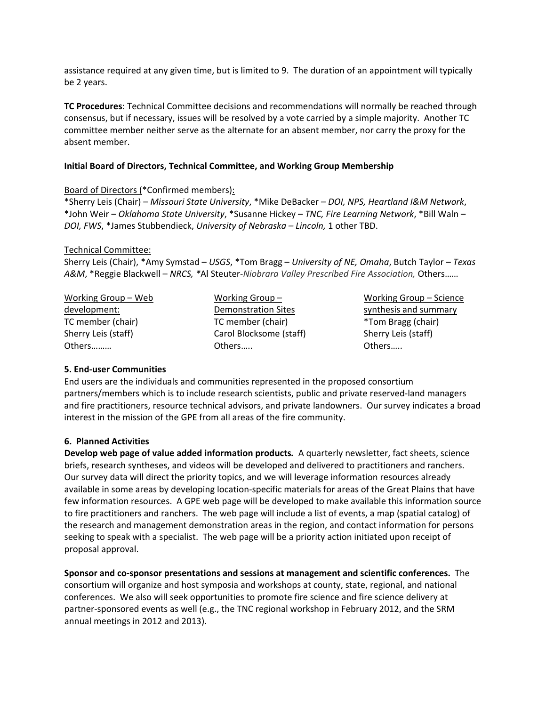assistance required at any given time, but is limited to 9. The duration of an appointment will typically be 2 years.

**TC Procedures**: Technical Committee decisions and recommendations will normally be reached through consensus, but if necessary, issues will be resolved by a vote carried by a simple majority. Another TC committee member neither serve as the alternate for an absent member, nor carry the proxy for the absent member.

### **Initial Board of Directors, Technical Committee, and Working Group Membership**

### Board of Directors (\*Confirmed members):

\*Sherry Leis (Chair) – *Missouri State University*, \*Mike DeBacker – *DOI, NPS, Heartland I&M Network*, \*John Weir – *Oklahoma State University*, \*Susanne Hickey – *TNC, Fire Learning Network*, \*Bill Waln – *DOI, FWS*, \*James Stubbendieck, *University of Nebraska – Lincoln,* 1 other TBD.

### Technical Committee:

Sherry Leis (Chair), \*Amy Symstad – *USGS*, \*Tom Bragg – *University of NE, Omaha*, Butch Taylor – *Texas A&M*, \*Reggie Blackwell – *NRCS, \**Al Steuter‐*Niobrara Valley Prescribed Fire Association,* Others……

Working Group – Web development: TC member (chair) Sherry Leis (staff) Others………

Working Group – Demonstration Sites TC member (chair) Carol Blocksome (staff) Others…..

Working Group – Science synthesis and summary \*Tom Bragg (chair) Sherry Leis (staff) Others…..

# **5. End‐user Communities**

End users are the individuals and communities represented in the proposed consortium partners/members which is to include research scientists, public and private reserved-land managers and fire practitioners, resource technical advisors, and private landowners. Our survey indicates a broad interest in the mission of the GPE from all areas of the fire community.

# **6. Planned Activities**

**Develop web page of value added information products***.* A quarterly newsletter, fact sheets, science briefs, research syntheses, and videos will be developed and delivered to practitioners and ranchers. Our survey data will direct the priority topics, and we will leverage information resources already available in some areas by developing location‐specific materials for areas of the Great Plains that have few information resources. A GPE web page will be developed to make available this information source to fire practitioners and ranchers. The web page will include a list of events, a map (spatial catalog) of the research and management demonstration areas in the region, and contact information for persons seeking to speak with a specialist. The web page will be a priority action initiated upon receipt of proposal approval.

**Sponsor and co‐sponsor presentations and sessions at management and scientific conferences.** The consortium will organize and host symposia and workshops at county, state, regional, and national conferences. We also will seek opportunities to promote fire science and fire science delivery at partner‐sponsored events as well (e.g., the TNC regional workshop in February 2012, and the SRM annual meetings in 2012 and 2013).